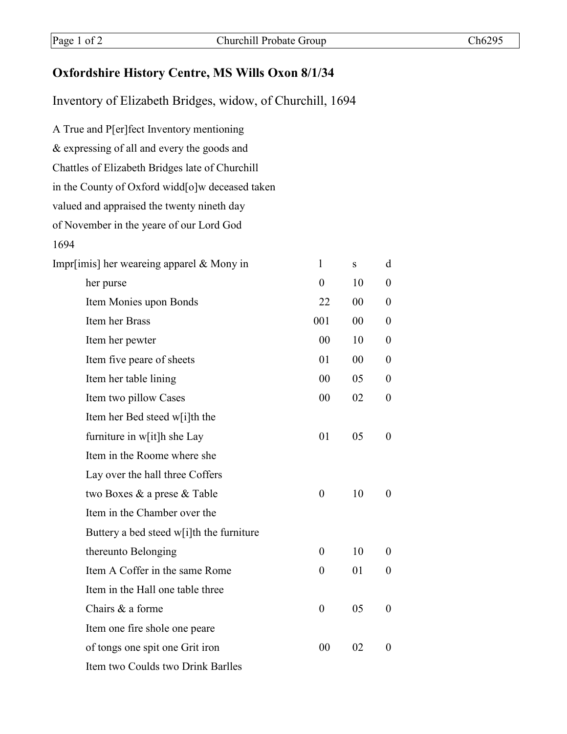## **Oxfordshire History Centre, MS Wills Oxon 8/1/34**

Inventory of Elizabeth Bridges, widow, of Churchill, 1694

| A True and P[er]fect Inventory mentioning       |                  |    |                  |
|-------------------------------------------------|------------------|----|------------------|
| & expressing of all and every the goods and     |                  |    |                  |
| Chattles of Elizabeth Bridges late of Churchill |                  |    |                  |
| in the County of Oxford widd[o]w deceased taken |                  |    |                  |
| valued and appraised the twenty nineth day      |                  |    |                  |
| of November in the yeare of our Lord God        |                  |    |                  |
| 1694                                            |                  |    |                  |
| Impr[imis] her weareing apparel $\&$ Mony in    | $\mathbf{1}$     | S  | d                |
| her purse                                       | $\theta$         | 10 | $\overline{0}$   |
| Item Monies upon Bonds                          | 22               | 00 | $\boldsymbol{0}$ |
| Item her Brass                                  | 001              | 00 | $\overline{0}$   |
| Item her pewter                                 | 00               | 10 | $\overline{0}$   |
| Item five peare of sheets                       | 01               | 00 | $\overline{0}$   |
| Item her table lining                           | 00               | 05 | $\theta$         |
| Item two pillow Cases                           | 00               | 02 | $\boldsymbol{0}$ |
| Item her Bed steed w[i]th the                   |                  |    |                  |
| furniture in w[it]h she Lay                     | 01               | 05 | $\theta$         |
| Item in the Roome where she                     |                  |    |                  |
| Lay over the hall three Coffers                 |                  |    |                  |
| two Boxes & a prese & Table                     | $\theta$         | 10 | $\theta$         |
| Item in the Chamber over the                    |                  |    |                  |
| Buttery a bed steed w[i]th the furniture        |                  |    |                  |
| thereunto Belonging                             | $\overline{0}$   | 10 | $\theta$         |
| Item A Coffer in the same Rome                  | $\overline{0}$   | 01 | $\overline{0}$   |
| Item in the Hall one table three                |                  |    |                  |
| Chairs & a forme                                | $\boldsymbol{0}$ | 05 | $\overline{0}$   |
| Item one fire shole one peare                   |                  |    |                  |
| of tongs one spit one Grit iron                 | 00               | 02 | $\theta$         |
| Item two Coulds two Drink Barlles               |                  |    |                  |